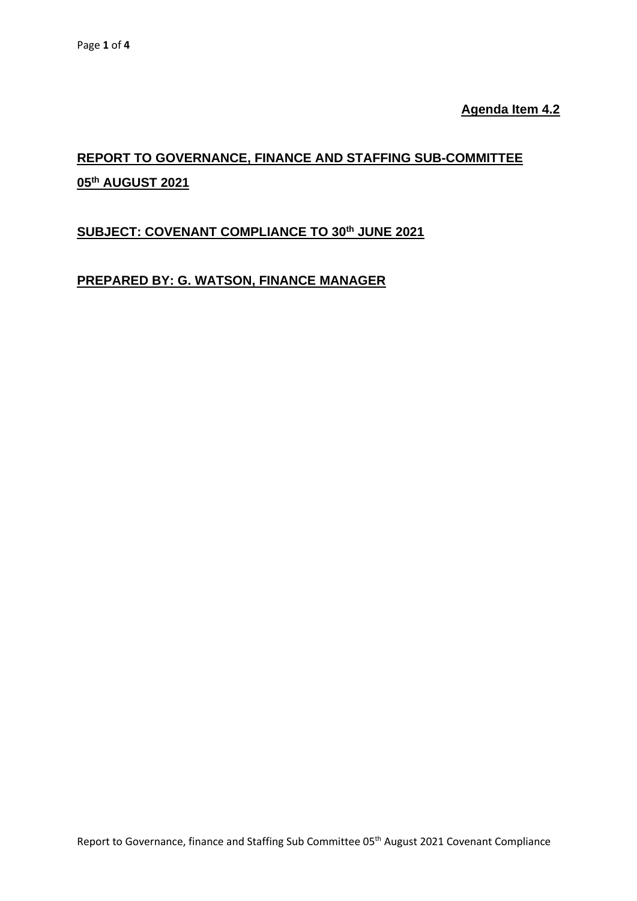**Agenda Item 4.2**

# **REPORT TO GOVERNANCE, FINANCE AND STAFFING SUB-COMMITTEE 05th AUGUST 2021**

### **SUBJECT: COVENANT COMPLIANCE TO 30 th JUNE 2021**

## **PREPARED BY: G. WATSON, FINANCE MANAGER**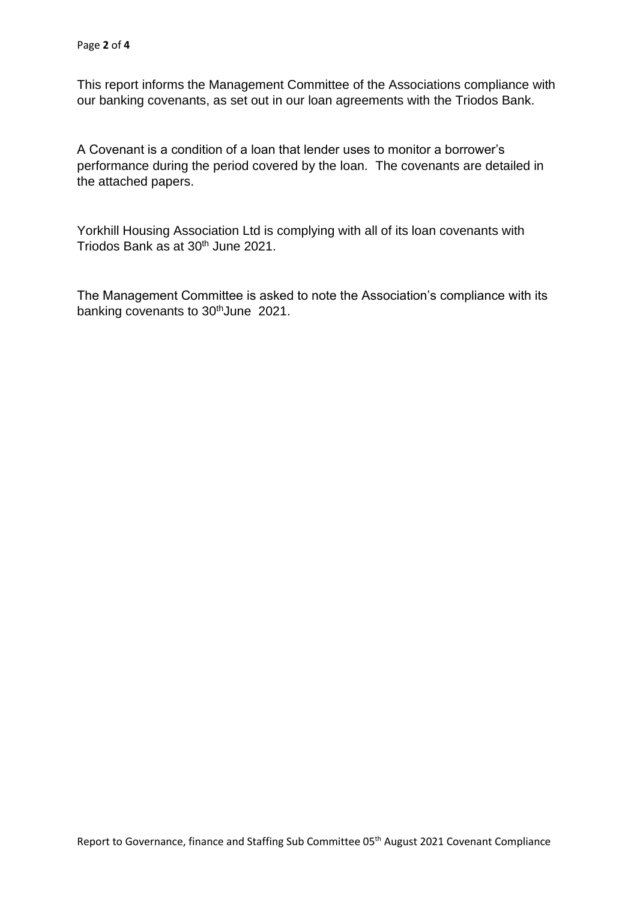This report informs the Management Committee of the Associations compliance with our banking covenants, as set out in our loan agreements with the Triodos Bank.

A Covenant is a condition of a loan that lender uses to monitor a borrower's performance during the period covered by the loan. The covenants are detailed in the attached papers.

Yorkhill Housing Association Ltd is complying with all of its loan covenants with Triodos Bank as at 30<sup>th</sup> June 2021.

The Management Committee is asked to note the Association's compliance with its banking covenants to 30<sup>th</sup>June 2021.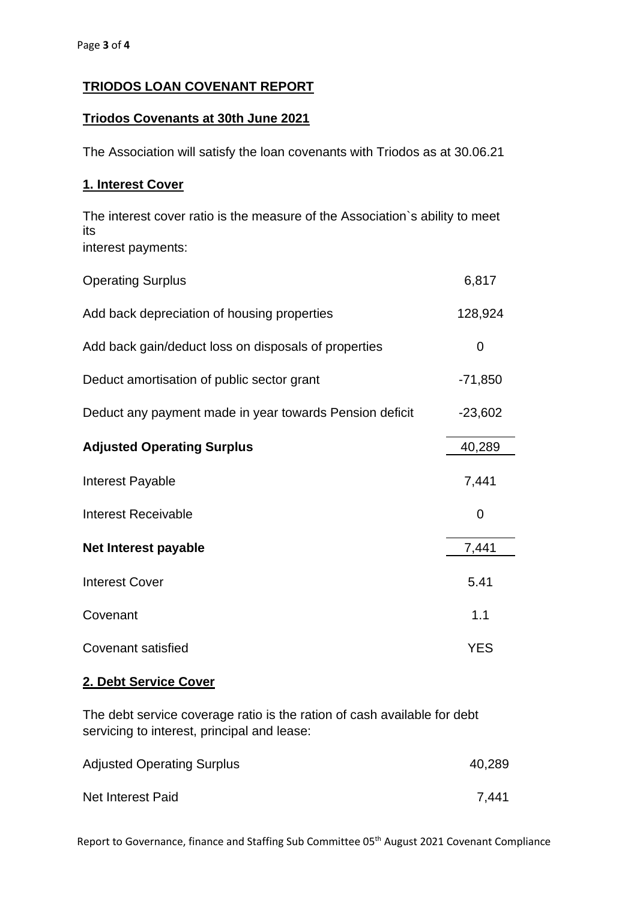## **TRIODOS LOAN COVENANT REPORT**

#### **Triodos Covenants at 30th June 2021**

The Association will satisfy the loan covenants with Triodos as at 30.06.21

#### **1. Interest Cover**

The interest cover ratio is the measure of the Association`s ability to meet its interest payments:

| <b>Operating Surplus</b>                                | 6,817      |
|---------------------------------------------------------|------------|
| Add back depreciation of housing properties             | 128,924    |
| Add back gain/deduct loss on disposals of properties    | 0          |
| Deduct amortisation of public sector grant              | $-71,850$  |
| Deduct any payment made in year towards Pension deficit | $-23,602$  |
| <b>Adjusted Operating Surplus</b>                       | 40,289     |
| Interest Payable                                        | 7,441      |
| <b>Interest Receivable</b>                              | 0          |
| Net Interest payable                                    | 7,441      |
| <b>Interest Cover</b>                                   | 5.41       |
| Covenant                                                | 1.1        |
| Covenant satisfied                                      | <b>YES</b> |

#### **2. Debt Service Cover**

The debt service coverage ratio is the ration of cash available for debt servicing to interest, principal and lease:

| <b>Adjusted Operating Surplus</b> | 40,289 |
|-----------------------------------|--------|
| Net Interest Paid                 | 7,441  |